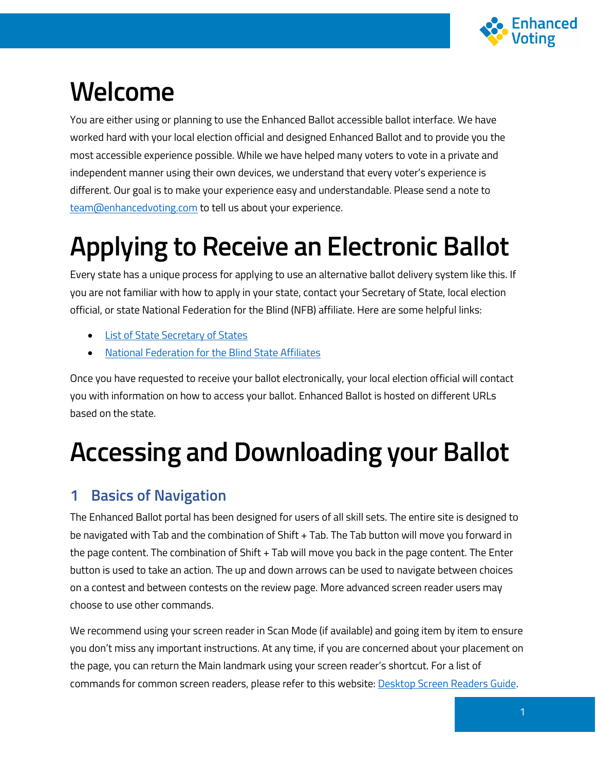

## **Welcome**

You are either using or planning to use the Enhanced Ballot accessible ballot interface. We have worked hard with your local election official and designed Enhanced Ballot and to provide you the most accessible experience possible. While we have helped many voters to vote in a private and independent manner using their own devices, we understand that every voter's experience is different. Our goal is to make your experience easy and understandable. Please send a note to [team@enhancedvoting.com](mailto:team@enhancedvoting.com) to tell us about your experience.

# **Applying to Receive an Electronic Ballot**

Every state has a unique process for applying to use an alternative ballot delivery system like this. If you are not familiar with how to apply in your state, contact your Secretary of State, local election official, or state National Federation for the Blind (NFB) affiliate. Here are some helpful links:

- [List of State Secretary of States](https://www.nass.org/membership)
- [National Federation for the Blind State Affiliates](https://nfb.org/about-us/state-affiliates)

Once you have requested to receive your ballot electronically, your local election official will contact you with information on how to access your ballot. Enhanced Ballot is hosted on different URLs based on the state.

# **Accessing and Downloading your Ballot**

## **1 Basics of Navigation**

The Enhanced Ballot portal has been designed for users of all skill sets. The entire site is designed to be navigated with Tab and the combination of Shift + Tab. The Tab button will move you forward in the page content. The combination of Shift + Tab will move you back in the page content. The Enter button is used to take an action. The up and down arrows can be used to navigate between choices on a contest and between contests on the review page. More advanced screen reader users may choose to use other commands.

We recommend using your screen reader in Scan Mode (if available) and going item by item to ensure you don't miss any important instructions. At any time, if you are concerned about your placement on the page, you can return the Main landmark using your screen reader's shortcut. For a list of commands for common screen readers, please refer to this website: [Desktop Screen Readers Guide.](https://dequeuniversity.com/screenreaders/survival-guide)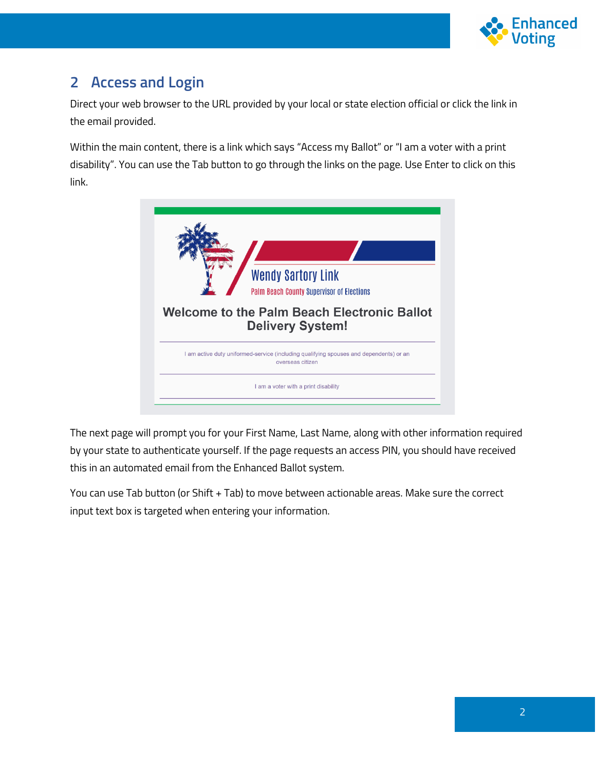

## **2 Access and Login**

Direct your web browser to the URL provided by your local or state election official or click the link in the email provided.

Within the main content, there is a link which says "Access my Ballot" or "I am a voter with a print disability". You can use the Tab button to go through the links on the page. Use Enter to click on this link.



The next page will prompt you for your First Name, Last Name, along with other information required by your state to authenticate yourself. If the page requests an access PIN, you should have received this in an automated email from the Enhanced Ballot system.

You can use Tab button (or Shift + Tab) to move between actionable areas. Make sure the correct input text box is targeted when entering your information.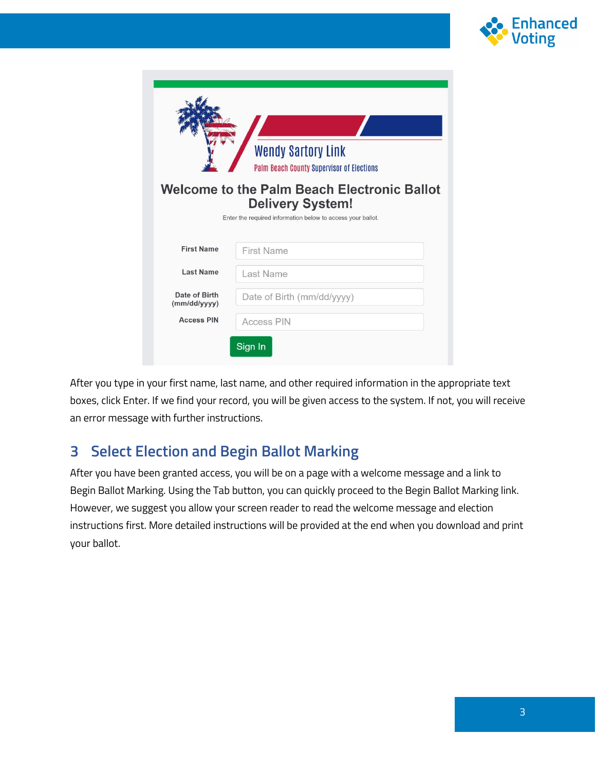

|                               | <b>Wendy Sartory Link</b><br><b>Palm Beach County Supervisor of Elections</b><br><b>Welcome to the Palm Beach Electronic Ballot</b><br><b>Delivery System!</b><br>Enter the required information below to access your ballot. |
|-------------------------------|-------------------------------------------------------------------------------------------------------------------------------------------------------------------------------------------------------------------------------|
| <b>First Name</b>             | First Name                                                                                                                                                                                                                    |
| <b>Last Name</b>              | Last Name                                                                                                                                                                                                                     |
| Date of Birth<br>(mm/dd/yyyy) | Date of Birth (mm/dd/yyyy)                                                                                                                                                                                                    |
| <b>Access PIN</b>             | Access PIN                                                                                                                                                                                                                    |
|                               | Sign In                                                                                                                                                                                                                       |

After you type in your first name, last name, and other required information in the appropriate text boxes, click Enter. If we find your record, you will be given access to the system. If not, you will receive an error message with further instructions.

## **3 Select Election and Begin Ballot Marking**

After you have been granted access, you will be on a page with a welcome message and a link to Begin Ballot Marking. Using the Tab button, you can quickly proceed to the Begin Ballot Marking link. However, we suggest you allow your screen reader to read the welcome message and election instructions first. More detailed instructions will be provided at the end when you download and print your ballot.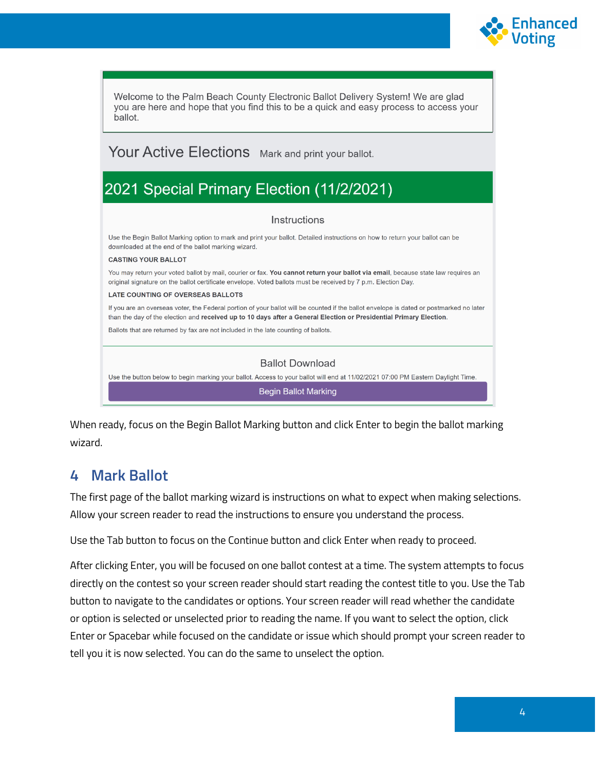

Welcome to the Palm Beach County Electronic Ballot Delivery System! We are glad you are here and hope that you find this to be a quick and easy process to access your ballot.

#### Your Active Elections Mark and print your ballot.

## 2021 Special Primary Election (11/2/2021)

#### Instructions

Use the Begin Ballot Marking option to mark and print your ballot. Detailed instructions on how to return your ballot can be downloaded at the end of the ballot marking wizard.

#### **CASTING YOUR BALLOT**

You may return your voted ballot by mail, courier or fax. You cannot return your ballot via email, because state law requires an original signature on the ballot certificate envelope. Voted ballots must be received by 7 p.m. Election Day.

#### LATE COUNTING OF OVERSEAS BALLOTS

If you are an overseas voter, the Federal portion of your ballot will be counted if the ballot envelope is dated or postmarked no later than the day of the election and received up to 10 days after a General Election or Presidential Primary Election.

Ballots that are returned by fax are not included in the late counting of ballots.

#### **Ballot Download**

Use the button below to begin marking your ballot. Access to your ballot will end at 11/02/2021 07:00 PM Eastern Daylight Time.

**Begin Ballot Marking** 

When ready, focus on the Begin Ballot Marking button and click Enter to begin the ballot marking wizard.

#### **4 Mark Ballot**

The first page of the ballot marking wizard is instructions on what to expect when making selections. Allow your screen reader to read the instructions to ensure you understand the process.

Use the Tab button to focus on the Continue button and click Enter when ready to proceed.

After clicking Enter, you will be focused on one ballot contest at a time. The system attempts to focus directly on the contest so your screen reader should start reading the contest title to you. Use the Tab button to navigate to the candidates or options. Your screen reader will read whether the candidate or option is selected or unselected prior to reading the name. If you want to select the option, click Enter or Spacebar while focused on the candidate or issue which should prompt your screen reader to tell you it is now selected. You can do the same to unselect the option.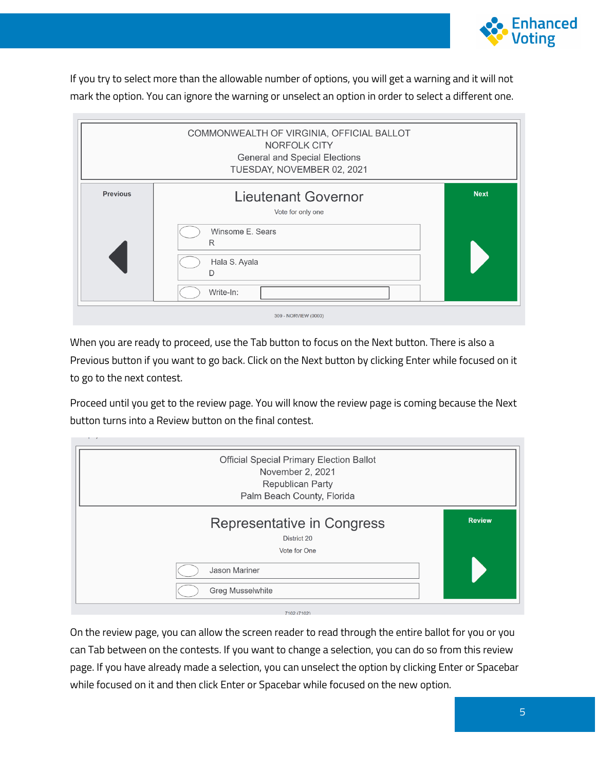

If you try to select more than the allowable number of options, you will get a warning and it will not mark the option. You can ignore the warning or unselect an option in order to select a different one.

|                 | COMMONWEALTH OF VIRGINIA, OFFICIAL BALLOT<br>NORFOLK CITY<br><b>General and Special Elections</b><br>TUESDAY, NOVEMBER 02, 2021 |             |
|-----------------|---------------------------------------------------------------------------------------------------------------------------------|-------------|
| <b>Previous</b> | <b>Lieutenant Governor</b><br>Vote for only one<br>Winsome E. Sears<br>R<br>Hala S. Ayala<br>D<br>Write-In:                     | <b>Next</b> |
|                 | 309 - NORVIEW (0000)                                                                                                            |             |

When you are ready to proceed, use the Tab button to focus on the Next button. There is also a Previous button if you want to go back. Click on the Next button by clicking Enter while focused on it to go to the next contest.

Proceed until you get to the review page. You will know the review page is coming because the Next button turns into a Review button on the final contest.

| <b>Official Special Primary Election Ballot</b><br>November 2, 2021<br><b>Republican Party</b><br>Palm Beach County, Florida |               |
|------------------------------------------------------------------------------------------------------------------------------|---------------|
| Representative in Congress<br>District 20<br>Vote for One                                                                    | <b>Review</b> |
| Jason Mariner<br><b>Greg Musselwhite</b>                                                                                     |               |
| 7400 (7400)                                                                                                                  |               |

On the review page, you can allow the screen reader to read through the entire ballot for you or you can Tab between on the contests. If you want to change a selection, you can do so from this review page. If you have already made a selection, you can unselect the option by clicking Enter or Spacebar while focused on it and then click Enter or Spacebar while focused on the new option.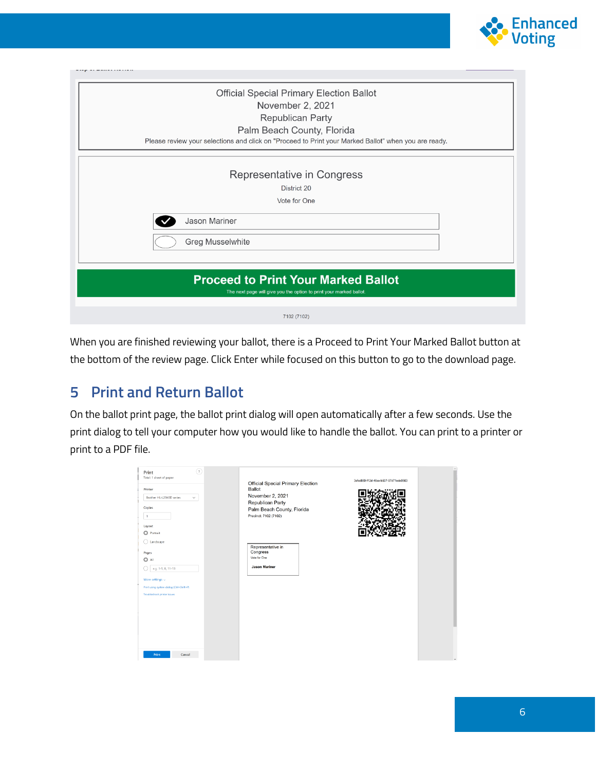

| <b>Official Special Primary Election Ballot</b>                                                      |  |  |  |
|------------------------------------------------------------------------------------------------------|--|--|--|
| November 2, 2021                                                                                     |  |  |  |
| <b>Republican Party</b>                                                                              |  |  |  |
| Palm Beach County, Florida                                                                           |  |  |  |
| Please review your selections and click on "Proceed to Print your Marked Ballot" when you are ready. |  |  |  |
|                                                                                                      |  |  |  |
| Representative in Congress                                                                           |  |  |  |
| District 20                                                                                          |  |  |  |
| Vote for One                                                                                         |  |  |  |
|                                                                                                      |  |  |  |
| <b>Jason Mariner</b>                                                                                 |  |  |  |
| <b>Greg Musselwhite</b>                                                                              |  |  |  |
|                                                                                                      |  |  |  |
|                                                                                                      |  |  |  |
| <b>Proceed to Print Your Marked Ballot</b>                                                           |  |  |  |
| The next page will give you the option to print your marked ballot.                                  |  |  |  |
|                                                                                                      |  |  |  |
| 7102 (7102)                                                                                          |  |  |  |

When you are finished reviewing your ballot, there is a Proceed to Print Your Marked Ballot button at the bottom of the review page. Click Enter while focused on this button to go to the download page.

## **5 Print and Return Ballot**

On the ballot print page, the ballot print dialog will open automatically after a few seconds. Use the print dialog to tell your computer how you would like to handle the ballot. You can print to a printer or print to a PDF file.

| (2)<br>Print<br>Total: 1 sheet of paper<br>Printer<br>Brother HL-L2340D series<br>$\checkmark$<br>Copies<br>$\vert$ 1<br>Layout<br>O Portrait                   | 3cfcd869-f12d-46ca-b507-97d71edc0563<br>Official Special Primary Election<br><b>Ballot</b><br>November 2, 2021<br>Republican Party<br>Palm Beach County, Florida<br>Precinct: 7102 (7102) |  |
|-----------------------------------------------------------------------------------------------------------------------------------------------------------------|-------------------------------------------------------------------------------------------------------------------------------------------------------------------------------------------|--|
| $\bigcirc$ Landscape<br>Pages<br>O All<br>e.g. 1-5, 8, 11-13<br>More settings $\sim$<br>Print using system dialog (Ctrl+Shift+P)<br>Troubleshoot printer issues | Representative in<br>Congress<br>Vote for One<br><b>Jason Mariner</b>                                                                                                                     |  |
| Cancel<br>Print                                                                                                                                                 |                                                                                                                                                                                           |  |